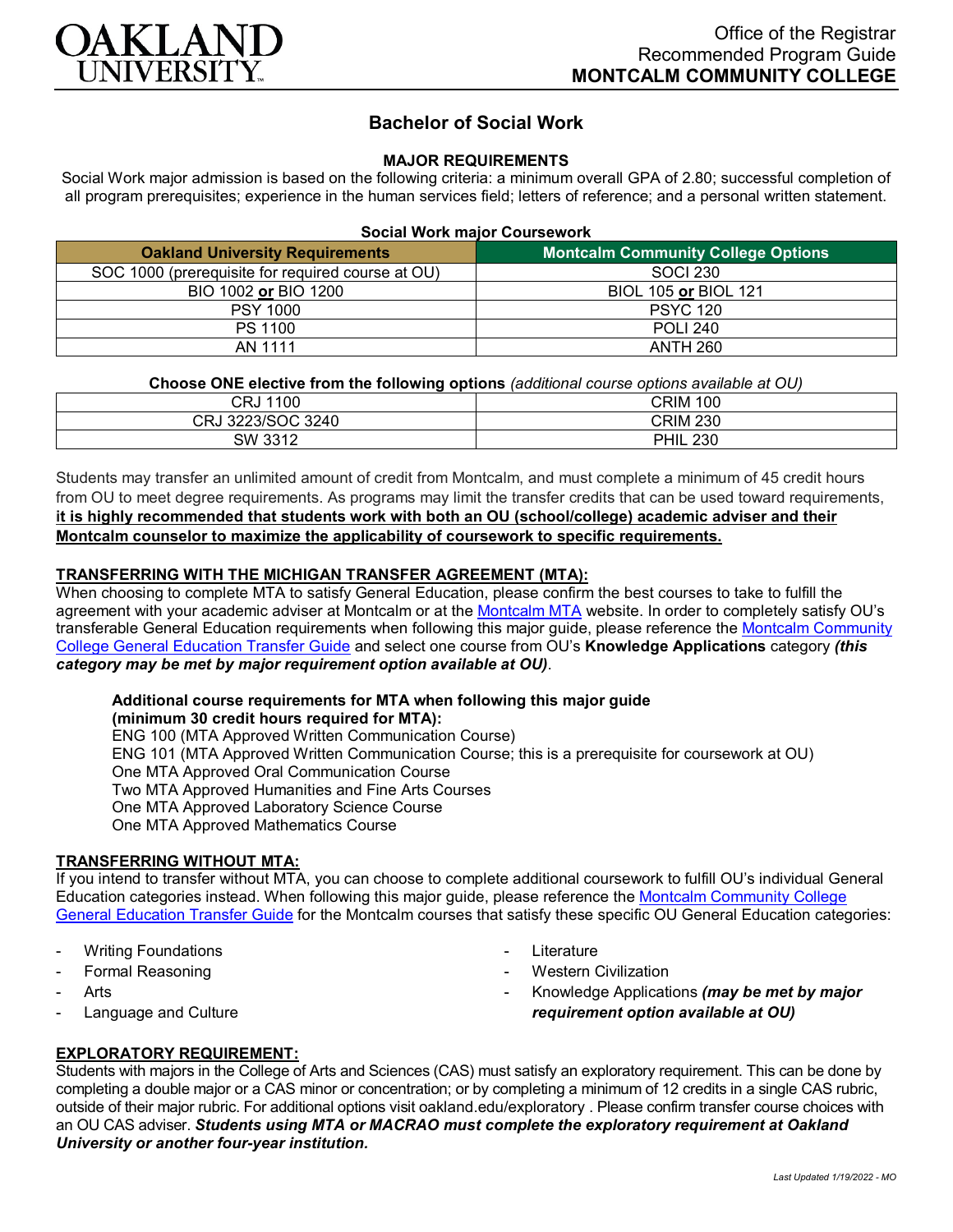

# **Bachelor of Social Work**

# **MAJOR REQUIREMENTS**

Social Work major admission is based on the following criteria: a minimum overall GPA of 2.80; successful completion of all program prerequisites; experience in the human services field; letters of reference; and a personal written statement.

| <b>Social Work major Coursework</b>               |                                           |
|---------------------------------------------------|-------------------------------------------|
| <b>Oakland University Requirements</b>            | <b>Montcalm Community College Options</b> |
| SOC 1000 (prerequisite for required course at OU) | <b>SOCI 230</b>                           |
| BIO 1002 or BIO 1200                              | BIOL 105 or BIOL 121                      |
| <b>PSY 1000</b>                                   | <b>PSYC 120</b>                           |
| PS 1100                                           | <b>POLI 240</b>                           |
| AN 1111                                           | <b>ANTH 260</b>                           |

### **Choose ONE elective from the following options** *(additional course options available at OU)*

| ◠◻<br>1100<br>∪кง    | <b>CRIM</b><br>100 |
|----------------------|--------------------|
| 3223/SOC 3240<br>CRJ | <b>CRIM 230</b>    |
| SW 3312              | <b>PHIL</b><br>230 |

Students may transfer an unlimited amount of credit from Montcalm, and must complete a minimum of 45 credit hours from OU to meet degree requirements. As programs may limit the transfer credits that can be used toward requirements, **it is highly recommended that students work with both an OU (school/college) academic adviser and their Montcalm counselor to maximize the applicability of coursework to specific requirements.**

### **TRANSFERRING WITH THE MICHIGAN TRANSFER AGREEMENT (MTA):**

When choosing to complete MTA to satisfy General Education, please confirm the best courses to take to fulfill the agreement with your academic adviser at Montcalm or at the [Montcalm MTA](https://catalog.montcalm.edu/preview_program.php?catoid=18&poid=2441&returnto=1758) website. In order to completely satisfy OU's transferable General Education requirements when following this major guide, please reference the [Montcalm Community](https://www.oakland.edu/Assets/Oakland/program-guides/montcalm-community-college/university-general-education-requirements/Montcalm%20Gen%20Ed.pdf)  [College General Education Transfer Guide](https://www.oakland.edu/Assets/Oakland/program-guides/montcalm-community-college/university-general-education-requirements/Montcalm%20Gen%20Ed.pdf) and select one course from OU's **Knowledge Applications** category *(this category may be met by major requirement option available at OU)*.

#### **Additional course requirements for MTA when following this major guide (minimum 30 credit hours required for MTA):**

ENG 100 (MTA Approved Written Communication Course) ENG 101 (MTA Approved Written Communication Course; this is a prerequisite for coursework at OU) One MTA Approved Oral Communication Course Two MTA Approved Humanities and Fine Arts Courses One MTA Approved Laboratory Science Course One MTA Approved Mathematics Course

# **TRANSFERRING WITHOUT MTA:**

If you intend to transfer without MTA, you can choose to complete additional coursework to fulfill OU's individual General Education categories instead. When following this major guide, please reference the **Montcalm Community College** [General Education Transfer Guide](https://www.oakland.edu/Assets/Oakland/program-guides/montcalm-community-college/university-general-education-requirements/Montcalm%20Gen%20Ed.pdf) for the Montcalm courses that satisfy these specific OU General Education categories:

- **Writing Foundations**
- Formal Reasoning
- **Arts**
- Language and Culture
- Literature
- **Western Civilization**
- Knowledge Applications *(may be met by major requirement option available at OU)*

# **EXPLORATORY REQUIREMENT:**

Students with majors in the College of Arts and Sciences (CAS) must satisfy an exploratory requirement. This can be done by completing a double major or a CAS minor or concentration; or by completing a minimum of 12 credits in a single CAS rubric, outside of their major rubric. For additional options visit [oakland.edu/exploratory](http://www.oakland.edu/exploratory) . Please confirm transfer course choices with an OU CAS adviser. *Students using MTA or MACRAO must complete the exploratory requirement at Oakland University or another four-year institution.*